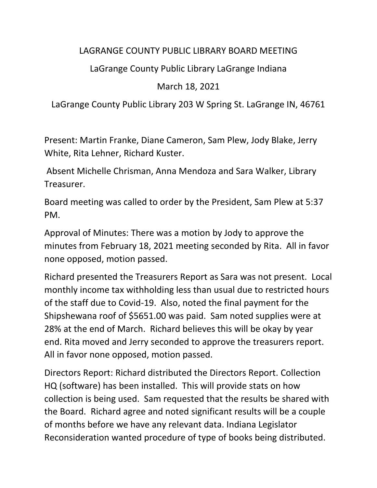## LAGRANGE COUNTY PUBLIC LIBRARY BOARD MEETING

## LaGrange County Public Library LaGrange Indiana

## March 18, 2021

LaGrange County Public Library 203 W Spring St. LaGrange IN, 46761

Present: Martin Franke, Diane Cameron, Sam Plew, Jody Blake, Jerry White, Rita Lehner, Richard Kuster.

Absent Michelle Chrisman, Anna Mendoza and Sara Walker, Library Treasurer.

Board meeting was called to order by the President, Sam Plew at 5:37 PM.

Approval of Minutes: There was a motion by Jody to approve the minutes from February 18, 2021 meeting seconded by Rita. All in favor none opposed, motion passed.

Richard presented the Treasurers Report as Sara was not present. Local monthly income tax withholding less than usual due to restricted hours of the staff due to Covid-19. Also, noted the final payment for the Shipshewana roof of \$5651.00 was paid. Sam noted supplies were at 28% at the end of March. Richard believes this will be okay by year end. Rita moved and Jerry seconded to approve the treasurers report. All in favor none opposed, motion passed.

Directors Report: Richard distributed the Directors Report. Collection HQ (software) has been installed. This will provide stats on how collection is being used. Sam requested that the results be shared with the Board. Richard agree and noted significant results will be a couple of months before we have any relevant data. Indiana Legislator Reconsideration wanted procedure of type of books being distributed.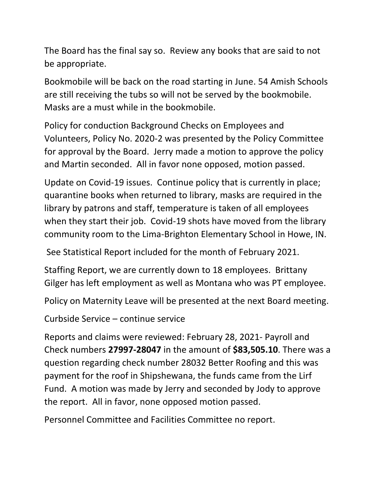The Board has the final say so. Review any books that are said to not be appropriate.

Bookmobile will be back on the road starting in June. 54 Amish Schools are still receiving the tubs so will not be served by the bookmobile. Masks are a must while in the bookmobile.

Policy for conduction Background Checks on Employees and Volunteers, Policy No. 2020-2 was presented by the Policy Committee for approval by the Board. Jerry made a motion to approve the policy and Martin seconded. All in favor none opposed, motion passed.

Update on Covid-19 issues. Continue policy that is currently in place; quarantine books when returned to library, masks are required in the library by patrons and staff, temperature is taken of all employees when they start their job. Covid-19 shots have moved from the library community room to the Lima-Brighton Elementary School in Howe, IN.

See Statistical Report included for the month of February 2021.

Staffing Report, we are currently down to 18 employees. Brittany Gilger has left employment as well as Montana who was PT employee.

Policy on Maternity Leave will be presented at the next Board meeting.

Curbside Service – continue service

Reports and claims were reviewed: February 28, 2021- Payroll and Check numbers **27997-28047** in the amount of **\$83,505.10**. There was a question regarding check number 28032 Better Roofing and this was payment for the roof in Shipshewana, the funds came from the Lirf Fund. A motion was made by Jerry and seconded by Jody to approve the report. All in favor, none opposed motion passed.

Personnel Committee and Facilities Committee no report.